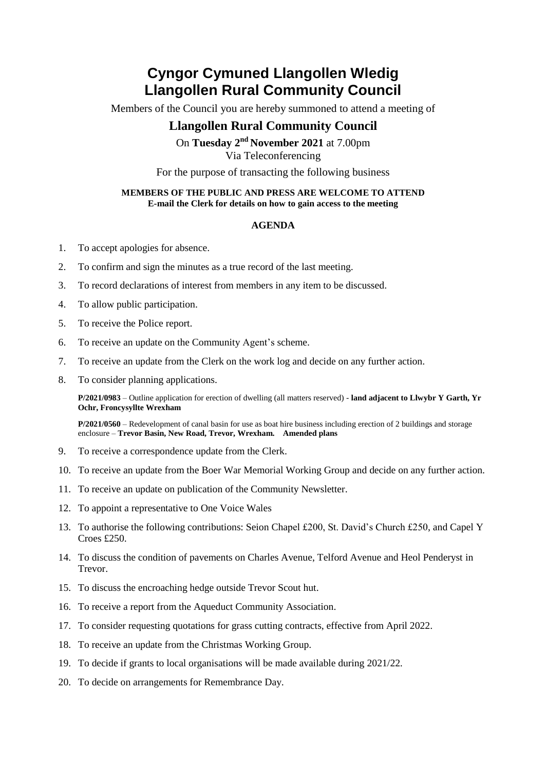## **Cyngor Cymuned Llangollen Wledig Llangollen Rural Community Council**

Members of the Council you are hereby summoned to attend a meeting of

## **Llangollen Rural Community Council**

On Tuesday 2<sup>nd</sup> November 2021 at 7.00pm Via Teleconferencing

For the purpose of transacting the following business

#### **MEMBERS OF THE PUBLIC AND PRESS ARE WELCOME TO ATTEND E-mail the Clerk for details on how to gain access to the meeting**

#### **AGENDA**

- 1. To accept apologies for absence.
- 2. To confirm and sign the minutes as a true record of the last meeting.
- 3. To record declarations of interest from members in any item to be discussed.
- 4. To allow public participation.
- 5. To receive the Police report.
- 6. To receive an update on the Community Agent's scheme.
- 7. To receive an update from the Clerk on the work log and decide on any further action.
- 8. To consider planning applications.

**P/2021/0983** – Outline application for erection of dwelling (all matters reserved) - **land adjacent to Llwybr Y Garth, Yr Ochr, Froncysyllte Wrexham**

**P/2021/0560** – Redevelopment of canal basin for use as boat hire business including erection of 2 buildings and storage enclosure – **Trevor Basin, New Road, Trevor, Wrexham. Amended plans**

- 9. To receive a correspondence update from the Clerk.
- 10. To receive an update from the Boer War Memorial Working Group and decide on any further action.
- 11. To receive an update on publication of the Community Newsletter.
- 12. To appoint a representative to One Voice Wales
- 13. To authorise the following contributions: Seion Chapel £200, St. David's Church £250, and Capel Y Croes £250.
- 14. To discuss the condition of pavements on Charles Avenue, Telford Avenue and Heol Penderyst in Trevor.
- 15. To discuss the encroaching hedge outside Trevor Scout hut.
- 16. To receive a report from the Aqueduct Community Association.
- 17. To consider requesting quotations for grass cutting contracts, effective from April 2022.
- 18. To receive an update from the Christmas Working Group.
- 19. To decide if grants to local organisations will be made available during 2021/22.
- 20. To decide on arrangements for Remembrance Day.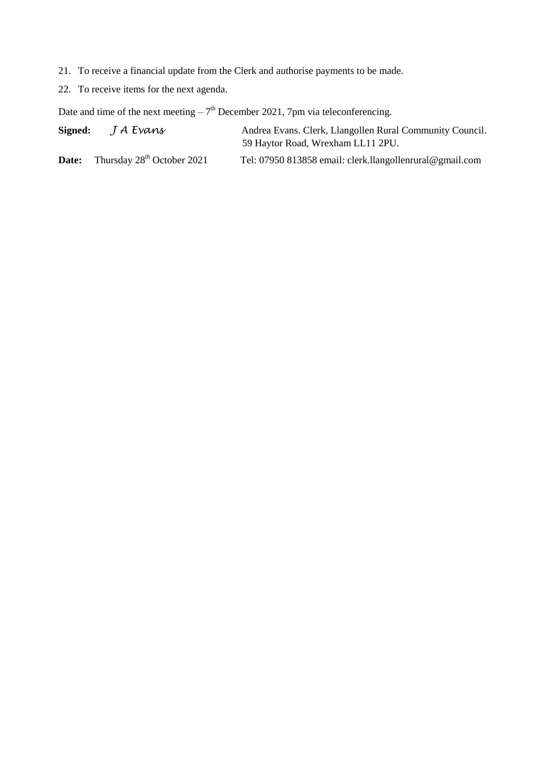- 21. To receive a financial update from the Clerk and authorise payments to be made.
- 22. To receive items for the next agenda.

Date and time of the next meeting  $-7<sup>th</sup>$  December 2021, 7pm via teleconferencing.

**Signed:** *J A Evans* Andrea Evans. Clerk, Llangollen Rural Community Council. 59 Haytor Road, Wrexham LL11 2PU.

**Date:** Thursday 28<sup>th</sup> October 2021 Tel: 07950 813858 email: clerk.llangollenrural@gmail.com